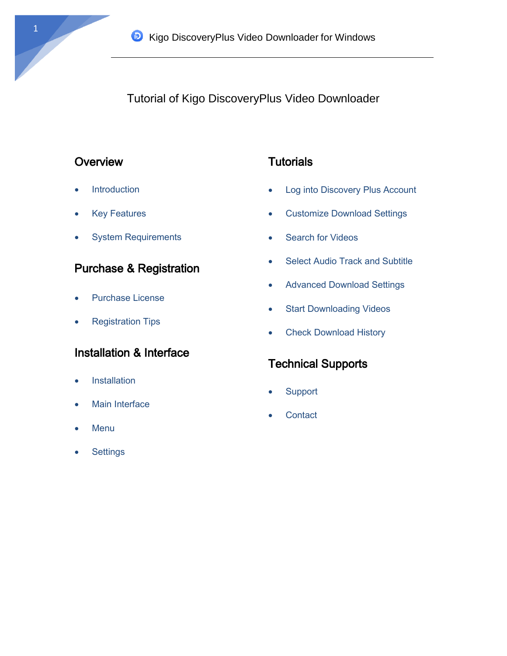Tutorial of Kigo DiscoveryPlus Video Downloader

# **Overview**

- Introduction
- Key Features
- System Requirements

# Purchase & Registration

- Purchase License
- Registration Tips

# Installation & Interface

- **•** Installation
- Main Interface
- Menu
- **Settings**

# **Tutorials**

- Log into Discovery Plus Account
- Customize Download Settings
- Search for Videos
- Select Audio Track and Subtitle
- Advanced Download Settings
- Start Downloading Videos
- Check Download History

# Technical Supports

- **Support**
- **Contact**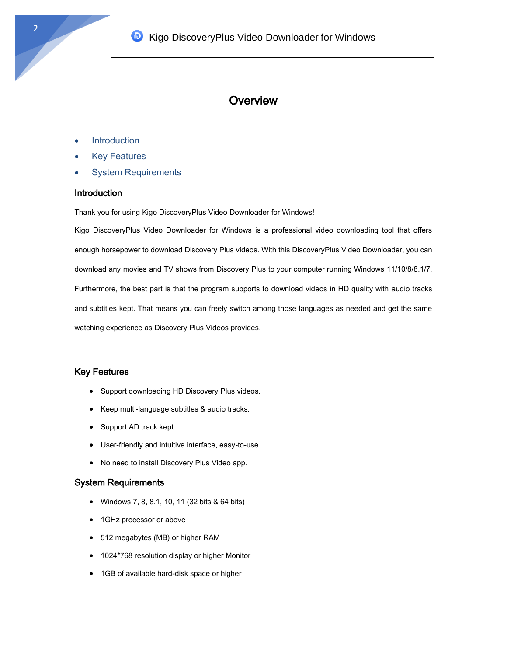## **Overview**

- **Introduction**
- Key Features
- System Requirements

#### **Introduction**

Thank you for using Kigo DiscoveryPlus Video Downloader for Windows!

Kigo DiscoveryPlus Video Downloader for Windows is a professional video downloading tool that offers enough horsepower to download Discovery Plus videos. With this DiscoveryPlus Video Downloader, you can download any movies and TV shows from Discovery Plus to your computer running Windows 11/10/8/8.1/7. Furthermore, the best part is that the program supports to download videos in HD quality with audio tracks and subtitles kept. That means you can freely switch among those languages as needed and get the same watching experience as Discovery Plus Videos provides.

#### Key Features

- Support downloading HD Discovery Plus videos.
- Keep multi-language subtitles & audio tracks.
- Support AD track kept.
- User-friendly and intuitive interface, easy-to-use.
- No need to install Discovery Plus Video app.

#### System Requirements

- Windows 7, 8, 8.1, 10, 11 (32 bits & 64 bits)
- 1GHz processor or above
- 512 megabytes (MB) or higher RAM
- 1024\*768 resolution display or higher Monitor
- 1GB of available hard-disk space or higher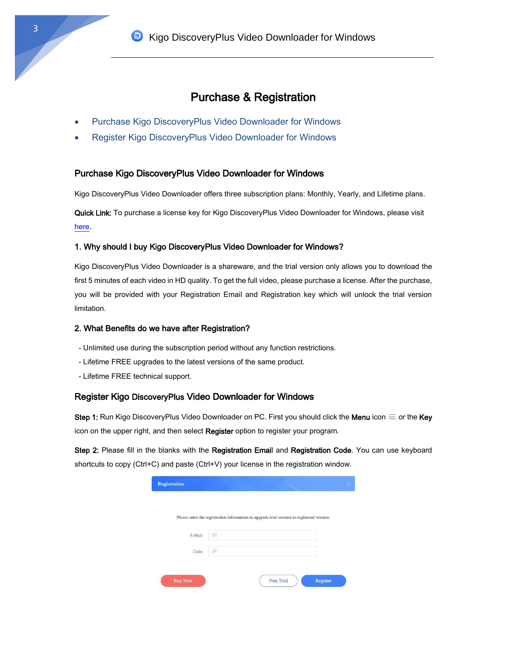# Purchase & Registration

- Purchase Kigo DiscoveryPlus Video Downloader for Windows
- Register Kigo DiscoveryPlus Video Downloader for Windows

#### Purchase Kigo DiscoveryPlus Video Downloader for Windows

Kigo DiscoveryPlus Video Downloader offers three subscription plans: Monthly, Yearly, and Lifetime plans.

Quick Link: To purchase a license key for Kigo DiscoveryPlus Video Downloader for Windows, please visit [here.](https://www.kigo-video-converter.com/discoveryplus-video-downloader/order.html)

#### 1. Why should I buy Kigo DiscoveryPlus Video Downloader for Windows?

Kigo DiscoveryPlus Video Downloader is a shareware, and the trial version only allows you to download the first 5 minutes of each video in HD quality. To get the full video, please purchase a license. After the purchase, you will be provided with your Registration Email and Registration key which will unlock the trial version limitation.

#### 2. What Benefits do we have after Registration?

- Unlimited use during the subscription period without any function restrictions.
- Lifetime FREE upgrades to the latest versions of the same product.
- Lifetime FREE technical support.

#### Register Kigo DiscoveryPlus Video Downloader for Windows

Step 1: Run Kigo DiscoveryPlus Video Downloader on PC. First you should click the Menu icon  $\equiv$  or the Key icon on the upper right, and then select Register option to register your program.

Step 2: Please fill in the blanks with the Registration Email and Registration Code. You can use keyboard shortcuts to copy (Ctrl+C) and paste (Ctrl+V) your license in the registration window.

|         | Please enter the registration information to upgrade trial version to registered version. |  |  |
|---------|-------------------------------------------------------------------------------------------|--|--|
|         | X                                                                                         |  |  |
| E-Mail: |                                                                                           |  |  |
| Code:   | D                                                                                         |  |  |
|         |                                                                                           |  |  |
|         |                                                                                           |  |  |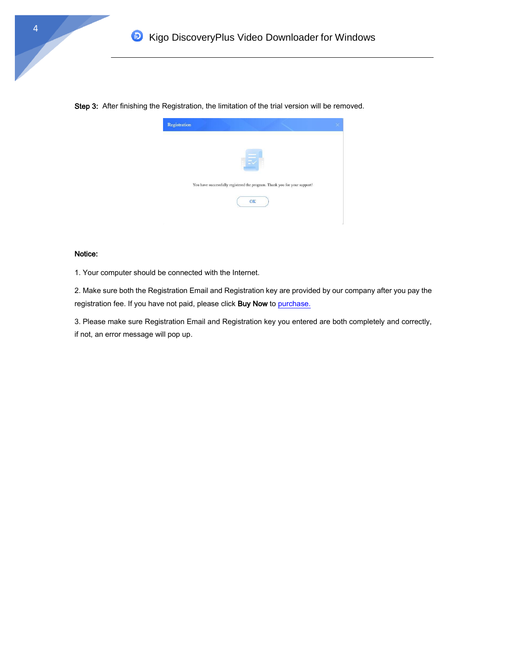



#### Notice:

1. Your computer should be connected with the Internet.

2. Make sure both the Registration Email and Registration key are provided by our company after you pay the registration fee. If you have not paid, please click Buy Now t[o purchase.](https://www.kigo-video-converter.com/discoveryplus-video-downloader/order.html)

3. Please make sure Registration Email and Registration key you entered are both completely and correctly, if not, an error message will pop up.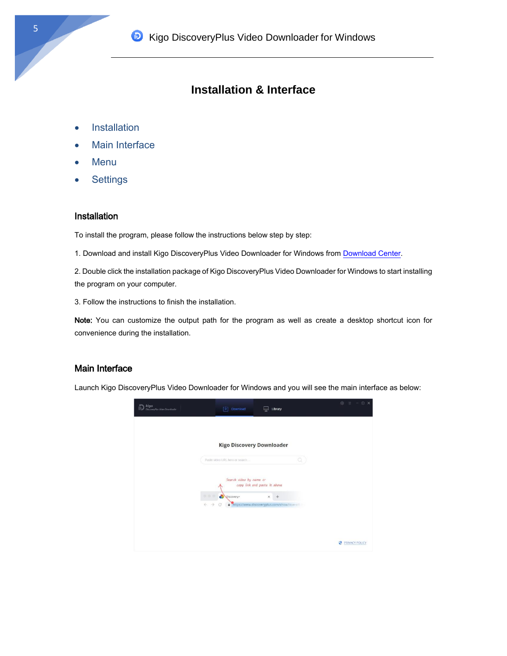# **Installation & Interface**

- **•** Installation
- Main Interface
- Menu
- **•** Settings

### **Installation**

To install the program, please follow the instructions below step by step:

1. Download and install Kigo DiscoveryPlus Video Downloader for Windows from [Download Center.](https://www.kigo-video-converter.com/downloads.html)

2. Double click the installation package of Kigo DiscoveryPlus Video Downloader for Windows to start installing the program on your computer.

3. Follow the instructions to finish the installation.

Note: You can customize the output path for the program as well as create a desktop shortcut icon for convenience during the installation.

#### Main Interface

Launch Kigo DiscoveryPlus Video Downloader for Windows and you will see the main interface as below:

| kigo<br>DiscoveryPlus Video Downloader | Download<br>r+1<br>ليبنا                                                                                               | Library | 囪<br><b>DX</b><br>注<br>$\sim$ |
|----------------------------------------|------------------------------------------------------------------------------------------------------------------------|---------|-------------------------------|
|                                        | <b>Kigo Discovery Downloader</b>                                                                                       |         |                               |
|                                        | Paste video URL here or search                                                                                         | o       |                               |
|                                        | Search video by name or<br>copy link and paste it above                                                                |         |                               |
|                                        | 999<br>a<br>Discovery+<br>×<br>$\leftarrow$<br>https://www.discoveryplus.com/show/love-off-<br>$\rightarrow$<br>G<br>û |         |                               |
|                                        |                                                                                                                        |         |                               |
|                                        |                                                                                                                        |         | PRIVACY POLICY                |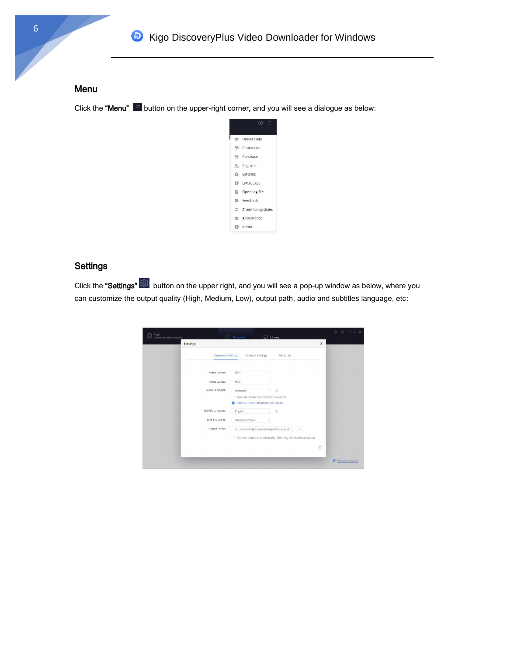### Menu

Click the "Menu"  $\blacksquare$  button on the upper-right corner, and you will see a dialogue as below:



## **Settings**

Click the "Settings" button on the upper right, and you will see a pop-up window as below, where you can customize the output quality (High, Medium, Low), output path, audio and subtitles language, etc:

| kigo<br>DiscoveyPlus Video Downloader |                          | $\begin{bmatrix} \downarrow \\ \end{bmatrix}$ Download | Library                                                       |          | $\hat{\omega}$ = $-\Box$ X |
|---------------------------------------|--------------------------|--------------------------------------------------------|---------------------------------------------------------------|----------|----------------------------|
| <b>Settings</b>                       |                          |                                                        |                                                               | $\times$ |                            |
|                                       | <b>Download Settings</b> | Account Settings                                       | Advanced                                                      |          |                            |
|                                       | Video Format:            | MP4                                                    | $\sim$                                                        |          |                            |
|                                       | Video Quality:           | High                                                   |                                                               |          |                            |
|                                       | Audio Language:          | Mandarin<br>n<br>Save 5.1 surround audio track, if any | $\odot$<br>$\vee$<br>Save AD (Audio Description) if available |          |                            |
|                                       | Subtitle Language:       | English                                                | $\odot$<br>$\checkmark$                                       |          |                            |
|                                       | Save Subtitle as:        | Internal subtitles                                     | ×                                                             |          |                            |
|                                       | Output Folder:           |                                                        | C:\Users\wffmj\Documents\Kigo Discovery D-                    | $\sim$   |                            |
|                                       |                          |                                                        | Put the computer to sleep after finishing the download queue  |          |                            |
|                                       |                          |                                                        |                                                               | Ö.       |                            |
|                                       |                          |                                                        |                                                               |          | ø<br><b>PRIVACY POLICY</b> |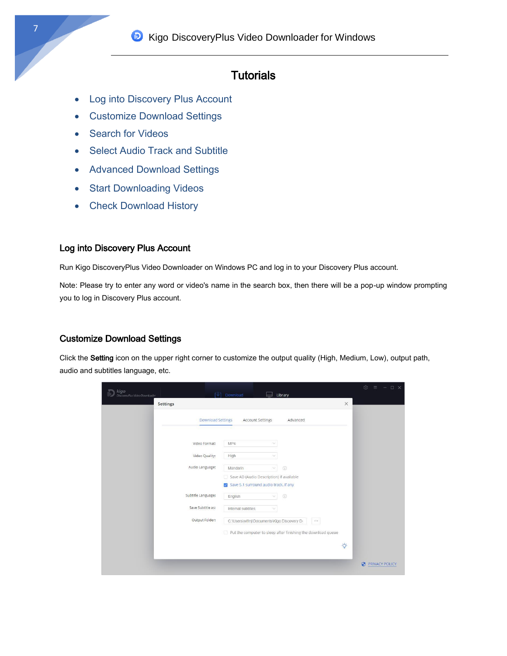# **Tutorials**

- Log into Discovery Plus Account
- Customize Download Settings
- Search for Videos
- Select Audio Track and Subtitle
- Advanced Download Settings
- Start Downloading Videos
- Check Download History

### Log into Discovery Plus Account

Run Kigo DiscoveryPlus Video Downloader on Windows PC and log in to your Discovery Plus account.

Note: Please try to enter any word or video's name in the search box, then there will be a pop-up window prompting you to log in Discovery Plus account.

### Customize Download Settings

Click the Setting icon on the upper right corner to customize the output quality (High, Medium, Low), output path, audio and subtitles language, etc.

| kigo<br>DiscoveryPlus Video Downloader<br><b>Settings</b> | Download<br>Library                                                                                           | ि ।<br>$ \Box$ $\times$<br>$=$<br>$\times$ |
|-----------------------------------------------------------|---------------------------------------------------------------------------------------------------------------|--------------------------------------------|
|                                                           | <b>Download Settings</b><br><b>Account Settings</b><br>Advanced                                               |                                            |
| Video Format:                                             | MP4<br>$\checkmark$                                                                                           |                                            |
| Video Quality:                                            | High                                                                                                          |                                            |
| Audio Language:                                           | $\odot$<br>Mandarin<br>×<br>Save AD (Audio Description) if available<br>Save 5.1 surround audio track, if any |                                            |
| Subtitle Language:                                        | $\odot$<br>English<br>$\checkmark$                                                                            |                                            |
| Save Subtitle as:                                         | Internal subtitles<br>$\ddot{\,}$                                                                             |                                            |
| Output Folder:                                            | C:\Users\wlfmj\Documents\Kigo Discovery Di<br>111                                                             |                                            |
|                                                           | Put the computer to sleep after finishing the download queue                                                  |                                            |
|                                                           |                                                                                                               | Ò.                                         |
|                                                           |                                                                                                               | Ø<br>PRIVACY POLICY                        |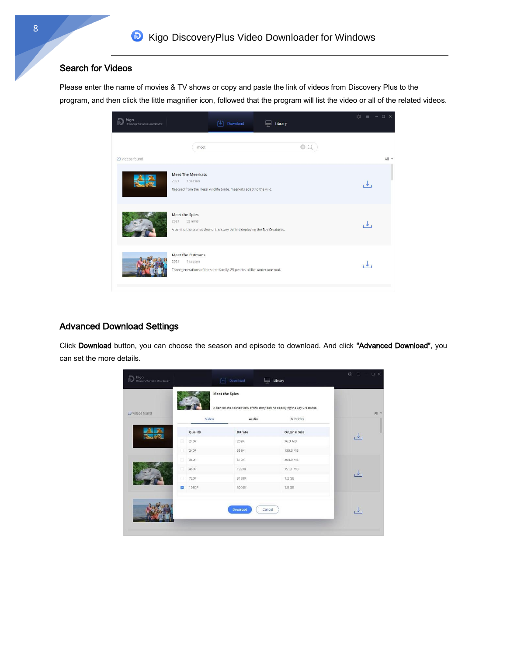### Search for Videos

Please enter the name of movies & TV shows or copy and paste the link of videos from Discovery Plus to the program, and then click the little magnifier icon, followed that the program will list the video or all of the related videos.



#### Advanced Download Settings

Click Download button, you can choose the season and episode to download. And click "Advanced Download", you can set the more details.

| 23 videos found |                          | Video   | Audio          | Subtitles     |              |
|-----------------|--------------------------|---------|----------------|---------------|--------------|
|                 |                          | Quality | <b>Bitrate</b> | Original Size |              |
|                 | $\Box$                   | 240P    | 202K           | 76.3 MB       | $\downarrow$ |
|                 | α                        | 240P    | 359K           | 135.3 MB      |              |
|                 | $\Box$                   | 360P    | 810K           | 304.9 MB      |              |
|                 | D                        | 480P    | 1997K          | 751.1 MB      | $\downarrow$ |
|                 | 同                        | 720P    | 3199K          | 1.2 GB        |              |
|                 | $\overline{\mathcal{L}}$ | 1080P   | 5004K          | 1.8 GB        |              |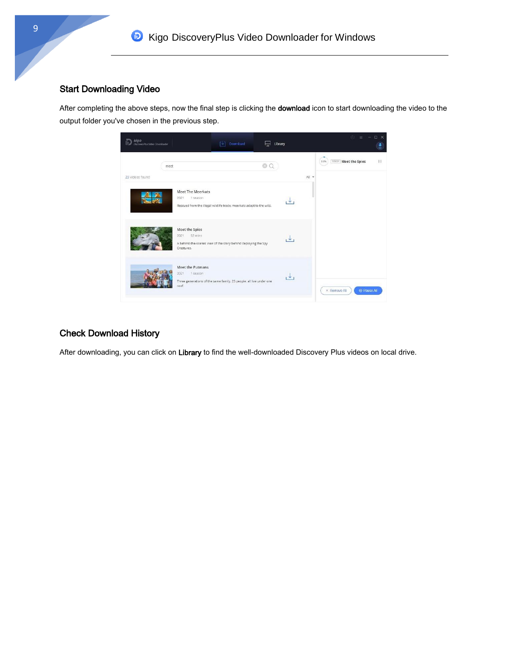# Start Downloading Video

After completing the above steps, now the final step is clicking the download icon to start downloading the video to the output folder you've chosen in the previous step.



### Check Download History

After downloading, you can click on Library to find the well-downloaded Discovery Plus videos on local drive.